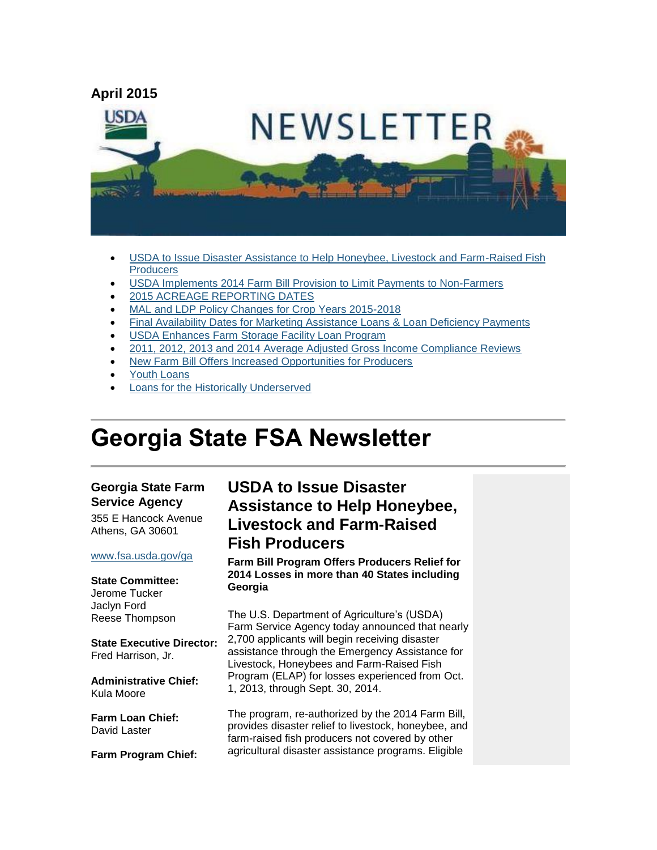

- [USDA to Issue Disaster Assistance to Help Honeybee, Livestock and Farm-Raised Fish](#page-0-0)  **[Producers](#page-0-0)**
- [USDA Implements 2014 Farm Bill Provision to Limit Payments to Non-Farmers](#page-1-0)
- [2015 ACREAGE REPORTING DATES](#page-2-0)
- [MAL and LDP Policy Changes for Crop Years 2015-2018](#page-3-0)
- [Final Availability Dates for Marketing Assistance Loans & Loan Deficiency Payments](#page-4-0)
- [USDA Enhances Farm Storage Facility Loan Program](#page-4-1)
- [2011, 2012, 2013 and 2014 Average Adjusted Gross Income Compliance Reviews](#page-4-2)
- [New Farm Bill Offers Increased Opportunities for Producers](#page-5-0)
- [Youth Loans](#page-5-1)
- [Loans for the Historically Underserved](#page-6-0)

# **Georgia State FSA Newsletter**

#### **Georgia State Farm Service Agency**

355 E Hancock Avenue Athens, GA 30601

#### [www.fsa.usda.gov/ga](http://www.fsa.usda.gov/ga)

#### **State Committee:** Jerome Tucker Jaclyn Ford Reese Thompson

**State Executive Director:** Fred Harrison, Jr.

**Administrative Chief:** Kula Moore

**Farm Loan Chief:** David Laster

**Farm Program Chief:**

### <span id="page-0-0"></span>**USDA to Issue Disaster Assistance to Help Honeybee, Livestock and Farm-Raised Fish Producers**

**Farm Bill Program Offers Producers Relief for 2014 Losses in more than 40 States including Georgia**

The U.S. Department of Agriculture's (USDA) Farm Service Agency today announced that nearly 2,700 applicants will begin receiving disaster assistance through the Emergency Assistance for Livestock, Honeybees and Farm-Raised Fish Program (ELAP) for losses experienced from Oct. 1, 2013, through Sept. 30, 2014.

The program, re-authorized by the 2014 Farm Bill, provides disaster relief to livestock, honeybee, and farm-raised fish producers not covered by other agricultural disaster assistance programs. Eligible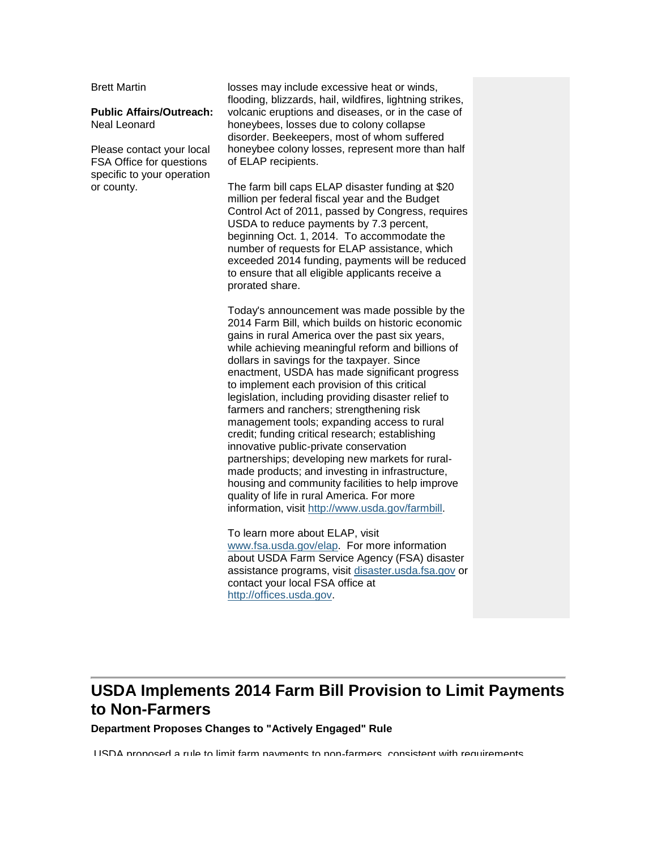Brett Martin

#### **Public Affairs/Outreach:** Neal Leonard

Please contact your local FSA Office for questions specific to your operation or county.

losses may include excessive heat or winds, flooding, blizzards, hail, wildfires, lightning strikes, volcanic eruptions and diseases, or in the case of honeybees, losses due to colony collapse disorder. Beekeepers, most of whom suffered honeybee colony losses, represent more than half of ELAP recipients.

The farm bill caps ELAP disaster funding at \$20 million per federal fiscal year and the Budget Control Act of 2011, passed by Congress, requires USDA to reduce payments by 7.3 percent, beginning Oct. 1, 2014. To accommodate the number of requests for ELAP assistance, which exceeded 2014 funding, payments will be reduced to ensure that all eligible applicants receive a prorated share.

Today's announcement was made possible by the 2014 Farm Bill, which builds on historic economic gains in rural America over the past six years, while achieving meaningful reform and billions of dollars in savings for the taxpayer. Since enactment, USDA has made significant progress to implement each provision of this critical legislation, including providing disaster relief to farmers and ranchers; strengthening risk management tools; expanding access to rural credit; funding critical research; establishing innovative public-private conservation partnerships; developing new markets for ruralmade products; and investing in infrastructure, housing and community facilities to help improve quality of life in rural America. For more information, visit [http://www.usda.gov/farmbill.](http://www.usda.gov/farmbill)

To learn more about ELAP, visit [www.fsa.usda.gov/elap.](http://www.fsa.usda.gov/elap) For more information about USDA Farm Service Agency (FSA) disaster assistance programs, visit [disaster.usda.fsa.gov](http://www.usda.gov/wps/portal/usda/usdahome?navid=DISASTER_ASSISTANCE) or contact your local FSA office at [http://offices.usda.gov.](http://offices.usda.gov/)

### <span id="page-1-0"></span>**USDA Implements 2014 Farm Bill Provision to Limit Payments to Non-Farmers**

**Department Proposes Changes to "Actively Engaged" Rule**

USDA proposed a rule to limit farm payments to non-farmers, consistent with requirements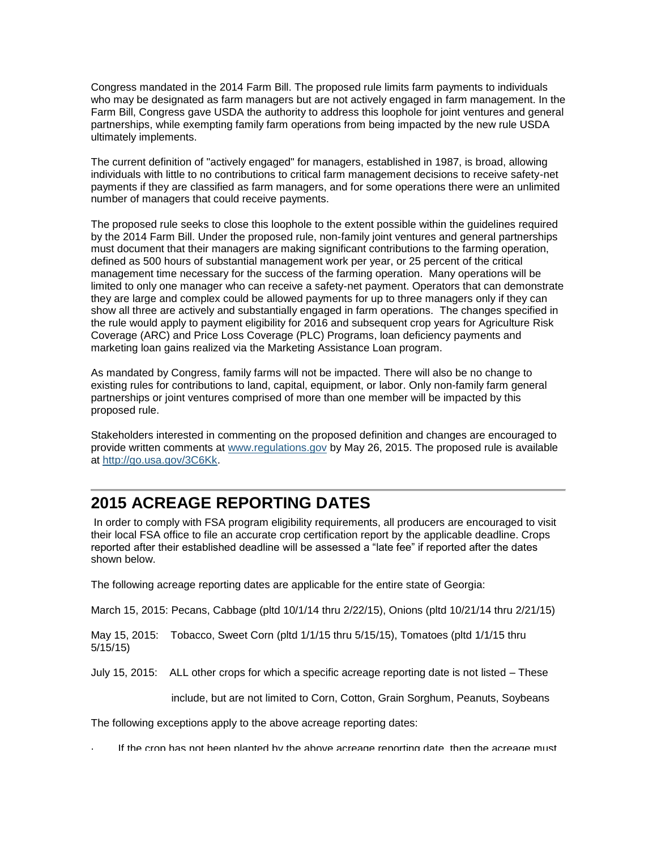Congress mandated in the 2014 Farm Bill. The proposed rule limits farm payments to individuals who may be designated as farm managers but are not actively engaged in farm management. In the Farm Bill, Congress gave USDA the authority to address this loophole for joint ventures and general partnerships, while exempting family farm operations from being impacted by the new rule USDA ultimately implements.

The current definition of "actively engaged" for managers, established in 1987, is broad, allowing individuals with little to no contributions to critical farm management decisions to receive safety-net payments if they are classified as farm managers, and for some operations there were an unlimited number of managers that could receive payments.

The proposed rule seeks to close this loophole to the extent possible within the guidelines required by the 2014 Farm Bill. Under the proposed rule, non-family joint ventures and general partnerships must document that their managers are making significant contributions to the farming operation, defined as 500 hours of substantial management work per year, or 25 percent of the critical management time necessary for the success of the farming operation. Many operations will be limited to only one manager who can receive a safety-net payment. Operators that can demonstrate they are large and complex could be allowed payments for up to three managers only if they can show all three are actively and substantially engaged in farm operations. The changes specified in the rule would apply to payment eligibility for 2016 and subsequent crop years for Agriculture Risk Coverage (ARC) and Price Loss Coverage (PLC) Programs, loan deficiency payments and marketing loan gains realized via the Marketing Assistance Loan program.

As mandated by Congress, family farms will not be impacted. There will also be no change to existing rules for contributions to land, capital, equipment, or labor. Only non-family farm general partnerships or joint ventures comprised of more than one member will be impacted by this proposed rule.

Stakeholders interested in commenting on the proposed definition and changes are encouraged to provide written comments at [www.regulations.gov](http://www.regulations.gov/) by May 26, 2015. The proposed rule is available at [http://go.usa.gov/3C6Kk.](http://go.usa.gov/3C6Kk)

## <span id="page-2-0"></span>**2015 ACREAGE REPORTING DATES**

In order to comply with FSA program eligibility requirements, all producers are encouraged to visit their local FSA office to file an accurate crop certification report by the applicable deadline. Crops reported after their established deadline will be assessed a "late fee" if reported after the dates shown below.

The following acreage reporting dates are applicable for the entire state of Georgia:

March 15, 2015: Pecans, Cabbage (pltd 10/1/14 thru 2/22/15), Onions (pltd 10/21/14 thru 2/21/15)

May 15, 2015: Tobacco, Sweet Corn (pltd 1/1/15 thru 5/15/15), Tomatoes (pltd 1/1/15 thru 5/15/15)

July 15, 2015: ALL other crops for which a specific acreage reporting date is not listed – These

include, but are not limited to Corn, Cotton, Grain Sorghum, Peanuts, Soybeans

The following exceptions apply to the above acreage reporting dates:

If the crop has not been planted by the above acreage reporting date, then the acreage must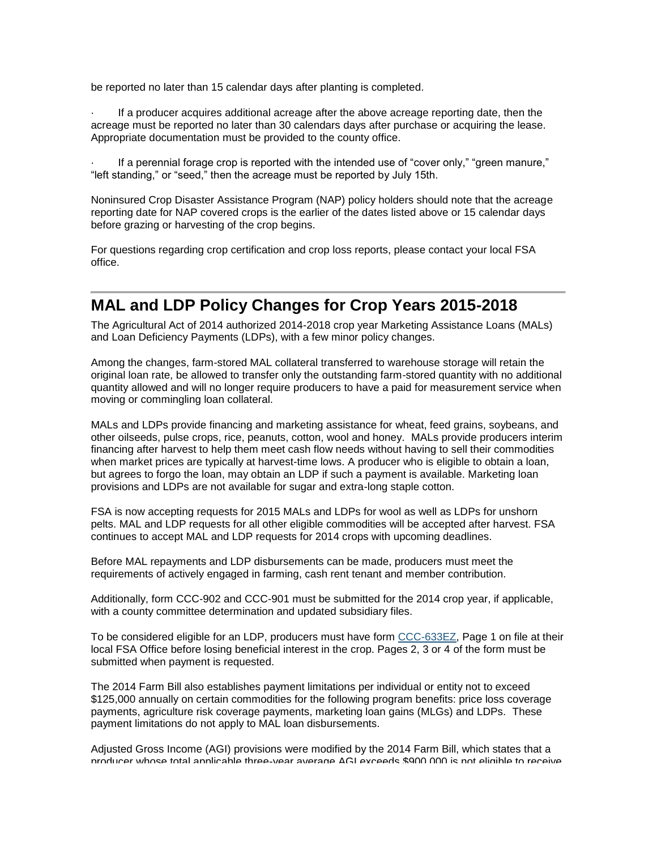be reported no later than 15 calendar days after planting is completed.

· If a producer acquires additional acreage after the above acreage reporting date, then the acreage must be reported no later than 30 calendars days after purchase or acquiring the lease. Appropriate documentation must be provided to the county office.

If a perennial forage crop is reported with the intended use of "cover only," "green manure," "left standing," or "seed," then the acreage must be reported by July 15th.

Noninsured Crop Disaster Assistance Program (NAP) policy holders should note that the acreage reporting date for NAP covered crops is the earlier of the dates listed above or 15 calendar days before grazing or harvesting of the crop begins.

For questions regarding crop certification and crop loss reports, please contact your local FSA office.

#### <span id="page-3-0"></span>**MAL and LDP Policy Changes for Crop Years 2015-2018**

The Agricultural Act of 2014 authorized 2014-2018 crop year Marketing Assistance Loans (MALs) and Loan Deficiency Payments (LDPs), with a few minor policy changes.

Among the changes, farm-stored MAL collateral transferred to warehouse storage will retain the original loan rate, be allowed to transfer only the outstanding farm-stored quantity with no additional quantity allowed and will no longer require producers to have a paid for measurement service when moving or commingling loan collateral.

MALs and LDPs provide financing and marketing assistance for wheat, feed grains, soybeans, and other oilseeds, pulse crops, rice, peanuts, cotton, wool and honey. MALs provide producers interim financing after harvest to help them meet cash flow needs without having to sell their commodities when market prices are typically at harvest-time lows. A producer who is eligible to obtain a loan, but agrees to forgo the loan, may obtain an LDP if such a payment is available. Marketing loan provisions and LDPs are not available for sugar and extra-long staple cotton.

FSA is now accepting requests for 2015 MALs and LDPs for wool as well as LDPs for unshorn pelts. MAL and LDP requests for all other eligible commodities will be accepted after harvest. FSA continues to accept MAL and LDP requests for 2014 crops with upcoming deadlines.

Before MAL repayments and LDP disbursements can be made, producers must meet the requirements of actively engaged in farming, cash rent tenant and member contribution.

Additionally, form CCC-902 and CCC-901 must be submitted for the 2014 crop year, if applicable, with a county committee determination and updated subsidiary files.

To be considered eligible for an LDP, producers must have form [CCC-633EZ,](http://forms.sc.egov.usda.gov/efcommon/eFileServices/eFormsAdmin/CCC0633EZ_140328V03.pdf) Page 1 on file at their local FSA Office before losing beneficial interest in the crop. Pages 2, 3 or 4 of the form must be submitted when payment is requested.

The 2014 Farm Bill also establishes payment limitations per individual or entity not to exceed \$125,000 annually on certain commodities for the following program benefits: price loss coverage payments, agriculture risk coverage payments, marketing loan gains (MLGs) and LDPs. These payment limitations do not apply to MAL loan disbursements.

Adjusted Gross Income (AGI) provisions were modified by the 2014 Farm Bill, which states that a producer whose total applicable three-year average AGI exceeds \$900,000 is not eligible to receive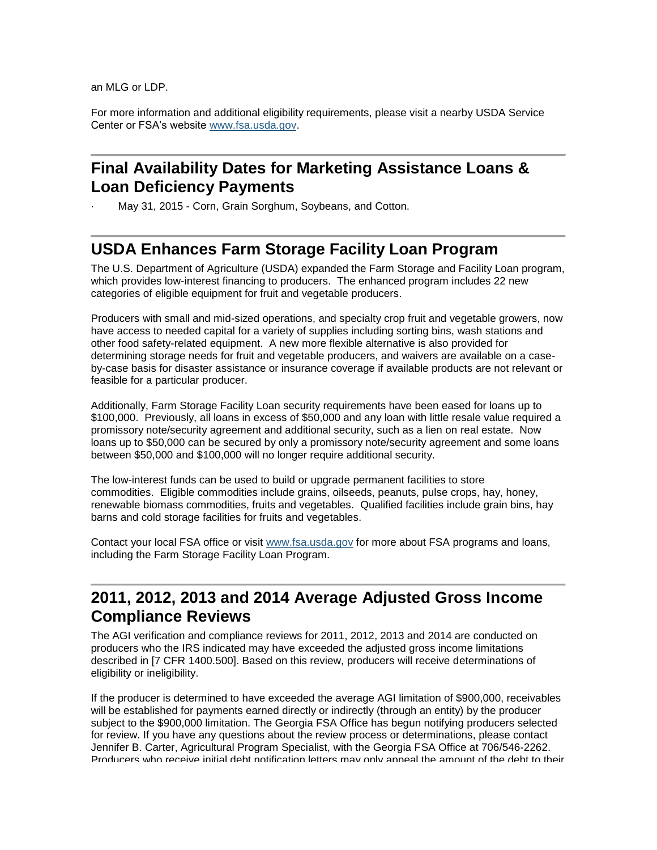an MLG or LDP.

For more information and additional eligibility requirements, please visit a nearby USDA Service Center or FSA's website [www.fsa.usda.gov.](http://www.fsa.usda.gov/)

#### <span id="page-4-0"></span>**Final Availability Dates for Marketing Assistance Loans & Loan Deficiency Payments**

May 31, 2015 - Corn, Grain Sorghum, Soybeans, and Cotton.

#### <span id="page-4-1"></span>**USDA Enhances Farm Storage Facility Loan Program**

The U.S. Department of Agriculture (USDA) expanded the Farm Storage and Facility Loan program, which provides low-interest financing to producers. The enhanced program includes 22 new categories of eligible equipment for fruit and vegetable producers.

Producers with small and mid-sized operations, and specialty crop fruit and vegetable growers, now have access to needed capital for a variety of supplies including sorting bins, wash stations and other food safety-related equipment. A new more flexible alternative is also provided for determining storage needs for fruit and vegetable producers, and waivers are available on a caseby-case basis for disaster assistance or insurance coverage if available products are not relevant or feasible for a particular producer.

Additionally, Farm Storage Facility Loan security requirements have been eased for loans up to \$100,000. Previously, all loans in excess of \$50,000 and any loan with little resale value required a promissory note/security agreement and additional security, such as a lien on real estate. Now loans up to \$50,000 can be secured by only a promissory note/security agreement and some loans between \$50,000 and \$100,000 will no longer require additional security.

The low-interest funds can be used to build or upgrade permanent facilities to store commodities. Eligible commodities include grains, oilseeds, peanuts, pulse crops, hay, honey, renewable biomass commodities, fruits and vegetables. Qualified facilities include grain bins, hay barns and cold storage facilities for fruits and vegetables.

Contact your local FSA office or visit [www.fsa.usda.gov](http://www.fsa.usda.gov/) for more about FSA programs and loans, including the Farm Storage Facility Loan Program.

#### <span id="page-4-2"></span>**2011, 2012, 2013 and 2014 Average Adjusted Gross Income Compliance Reviews**

The AGI verification and compliance reviews for 2011, 2012, 2013 and 2014 are conducted on producers who the IRS indicated may have exceeded the adjusted gross income limitations described in [7 CFR 1400.500]. Based on this review, producers will receive determinations of eligibility or ineligibility.

If the producer is determined to have exceeded the average AGI limitation of \$900,000, receivables will be established for payments earned directly or indirectly (through an entity) by the producer subject to the \$900,000 limitation. The Georgia FSA Office has begun notifying producers selected for review. If you have any questions about the review process or determinations, please contact Jennifer B. Carter, Agricultural Program Specialist, with the Georgia FSA Office at 706/546-2262. Producers who receive initial debt notification letters may only appeal the amount of the debt to their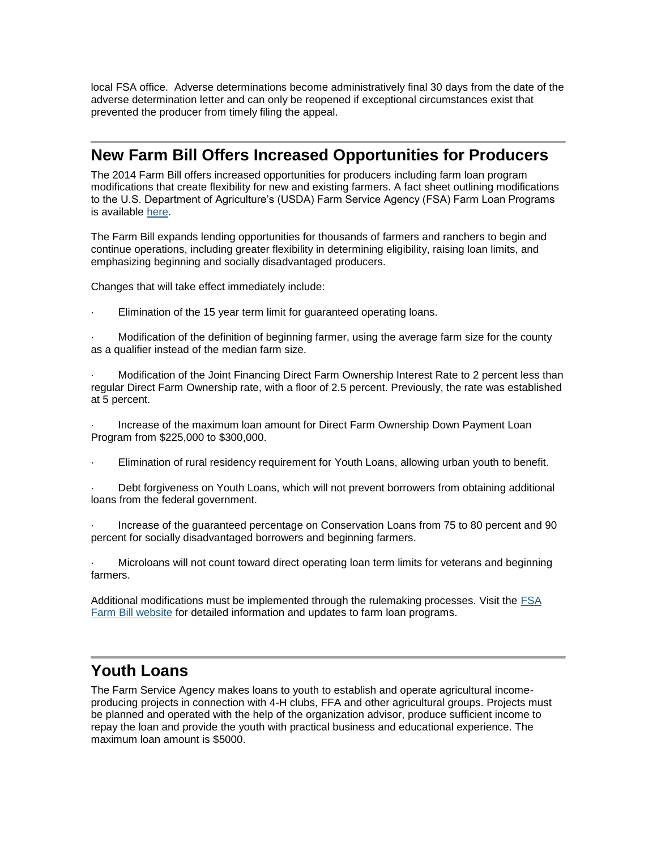local FSA office. Adverse determinations become administratively final 30 days from the date of the adverse determination letter and can only be reopened if exceptional circumstances exist that prevented the producer from timely filing the appeal.

#### <span id="page-5-0"></span>**New Farm Bill Offers Increased Opportunities for Producers**

The 2014 Farm Bill offers increased opportunities for producers including farm loan program modifications that create flexibility for new and existing farmers. A fact sheet outlining modifications to the U.S. Department of Agriculture's (USDA) Farm Service Agency (FSA) Farm Loan Programs is available [here.](http://fsa.usda.gov/FSA/newsReleases?area=newsroom&subject=landing&topic=pfs&newstype=prfactsheet&type=detail&item=pf_20140324_insup_en_fbill.html)

The Farm Bill expands lending opportunities for thousands of farmers and ranchers to begin and continue operations, including greater flexibility in determining eligibility, raising loan limits, and emphasizing beginning and socially disadvantaged producers.

Changes that will take effect immediately include:

Elimination of the 15 year term limit for quaranteed operating loans.

· Modification of the definition of beginning farmer, using the average farm size for the county as a qualifier instead of the median farm size.

· Modification of the Joint Financing Direct Farm Ownership Interest Rate to 2 percent less than regular Direct Farm Ownership rate, with a floor of 2.5 percent. Previously, the rate was established at 5 percent.

· Increase of the maximum loan amount for Direct Farm Ownership Down Payment Loan Program from \$225,000 to \$300,000.

Elimination of rural residency requirement for Youth Loans, allowing urban youth to benefit.

Debt forgiveness on Youth Loans, which will not prevent borrowers from obtaining additional loans from the federal government.

· Increase of the guaranteed percentage on Conservation Loans from 75 to 80 percent and 90 percent for socially disadvantaged borrowers and beginning farmers.

· Microloans will not count toward direct operating loan term limits for veterans and beginning farmers.

Additional modifications must be implemented through the rulemaking processes. Visit the [FSA](http://fsa.usda.gov/FSA/fbapp?area=home&subject=landing&topic=landing&utm_source=spotlight&utm_medium=click&utm_content=rotation1&utm_campaign=2014farmbill)  [Farm Bill website](http://fsa.usda.gov/FSA/fbapp?area=home&subject=landing&topic=landing&utm_source=spotlight&utm_medium=click&utm_content=rotation1&utm_campaign=2014farmbill) for detailed information and updates to farm loan programs.

### <span id="page-5-1"></span>**Youth Loans**

The Farm Service Agency makes loans to youth to establish and operate agricultural incomeproducing projects in connection with 4-H clubs, FFA and other agricultural groups. Projects must be planned and operated with the help of the organization advisor, produce sufficient income to repay the loan and provide the youth with practical business and educational experience. The maximum loan amount is \$5000.